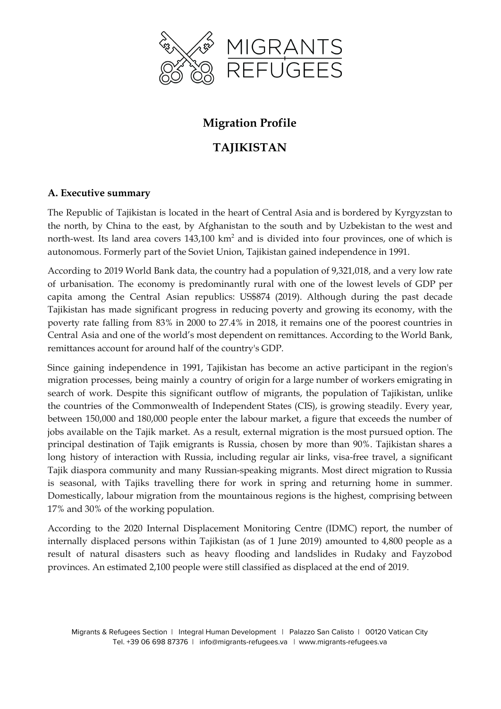

# **Migration Profile**

# **TAJIKISTAN**

# **A. Executive summary**

The Republic of Tajikistan is located in the heart of Central Asia and is bordered by Kyrgyzstan to the north, by China to the east, by Afghanistan to the south and by Uzbekistan to the west and north-west. Its land area covers 143,100 km<sup>2</sup> and is divided into four provinces, one of which is autonomous. Formerly part of the Soviet Union, Tajikistan gained independence in 1991.

According to 2019 World Bank data, the country had a population of 9,321,018, and a very low rate of urbanisation. The economy is predominantly rural with one of the lowest levels of GDP per capita among the Central Asian republics: US\$874 (2019). Although during the past decade Tajikistan has made significant progress in reducing poverty and growing its economy, with the poverty rate falling from 83% in 2000 to 27.4% in 2018, it remains one of the poorest countries in Central Asia and one of the world's most dependent on remittances. According to the World Bank, remittances account for around half of the country's GDP.

Since gaining independence in 1991, Tajikistan has become an active participant in the region's migration processes, being mainly a country of origin for a large number of workers emigrating in search of work. Despite this significant outflow of migrants, the population of Tajikistan, unlike the countries of the Commonwealth of Independent States (CIS), is growing steadily. Every year, between 150,000 and 180,000 people enter the labour market, a figure that exceeds the number of jobs available on the Tajik market. As a result, external migration is the most pursued option. The principal destination of Tajik emigrants is Russia, chosen by more than 90%. Tajikistan shares a long history of interaction with Russia, including regular air links, visa-free travel, a significant Tajik diaspora community and many Russian-speaking migrants. Most direct migration to Russia is seasonal, with Tajiks travelling there for work in spring and returning home in summer. Domestically, labour migration from the mountainous regions is the highest, comprising between 17% and 30% of the working population.

According to the 2020 Internal Displacement Monitoring Centre (IDMC) report, the number of internally displaced persons within Tajikistan (as of 1 June 2019) amounted to 4,800 people as a result of natural disasters such as heavy flooding and landslides in Rudaky and Fayzobod provinces. An estimated 2,100 people were still classified as displaced at the end of 2019.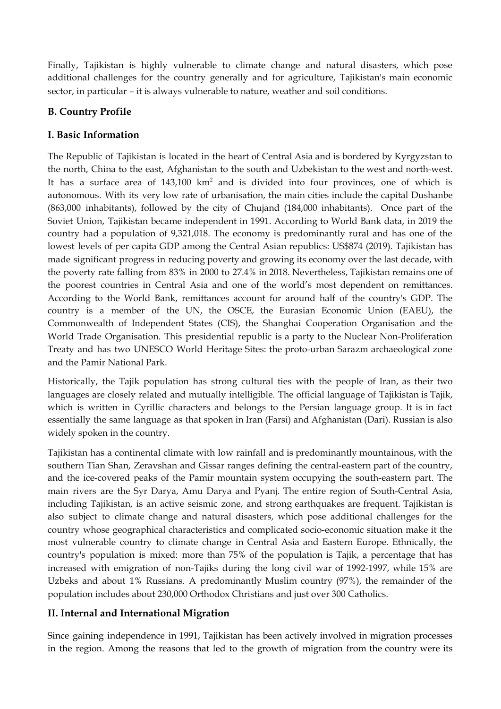Finally, Tajikistan is highly vulnerable to climate change and natural disasters, which pose additional challenges for the country generally and for agriculture, Tajikistan's main economic sector, in particular – it is always vulnerable to nature, weather and soil conditions.

# **B. Country Profile**

# **I. Basic Information**

The Republic of Tajikistan is located in the heart of Central Asia and is bordered by Kyrgyzstan to the north, China to the east, Afghanistan to the south and Uzbekistan to the west and north-west. It has a surface area of  $143,100 \text{ km}^2$  and is divided into four provinces, one of which is autonomous. With its very low rate of urbanisation, the main cities include the capital Dushanbe (863,000 inhabitants), followed by the city of Chujand (184,000 inhabitants). Once part of the Soviet Union, Tajikistan became independent in 1991. According to World Bank data, in 2019 the country had a population of 9,321,018. The economy is predominantly rural and has one of the lowest levels of per capita GDP among the Central Asian republics: US\$874 (2019). Tajikistan has made significant progress in reducing poverty and growing its economy over the last decade, with the poverty rate falling from 83% in 2000 to 27.4% in 2018. Nevertheless, Tajikistan remains one of the poorest countries in Central Asia and one of the world's most dependent on remittances. According to the World Bank, remittances account for around half of the country's GDP. The country is a member of the UN, the OSCE, the Eurasian Economic Union (EAEU), the Commonwealth of Independent States (CIS), the Shanghai Cooperation Organisation and the World Trade Organisation. This presidential republic is a party to the Nuclear Non-Proliferation Treaty and has two UNESCO World Heritage Sites: the proto-urban Sarazm archaeological zone and the Pamir National Park.

Historically, the Tajik population has strong cultural ties with the people of Iran, as their two languages are closely related and mutually intelligible. The official language of Tajikistan is Tajik, which is written in Cyrillic characters and belongs to the Persian language group. It is in fact essentially the same language as that spoken in Iran (Farsi) and Afghanistan (Dari). Russian is also widely spoken in the country.

Tajikistan has a continental climate with low rainfall and is predominantly mountainous, with the southern Tian Shan, Zeravshan and Gissar ranges defining the central-eastern part of the country, and the ice-covered peaks of the Pamir mountain system occupying the south-eastern part. The main rivers are the Syr Darya, Amu Darya and Pyanj. The entire region of South-Central Asia, including Tajikistan, is an active seismic zone, and strong earthquakes are frequent. Tajikistan is also subject to climate change and natural disasters, which pose additional challenges for the country whose geographical characteristics and complicated socio-economic situation make it the most vulnerable country to climate change in Central Asia and Eastern Europe. Ethnically, the country's population is mixed: more than 75% of the population is Tajik, a percentage that has increased with emigration of non-Tajiks during the long civil war of 1992-1997, while 15% are Uzbeks and about 1% Russians. A predominantly Muslim country (97%), the remainder of the population includes about 230,000 Orthodox Christians and just over 300 Catholics.

# **II. Internal and International Migration**

Since gaining independence in 1991, Tajikistan has been actively involved in migration processes in the region. Among the reasons that led to the growth of migration from the country were its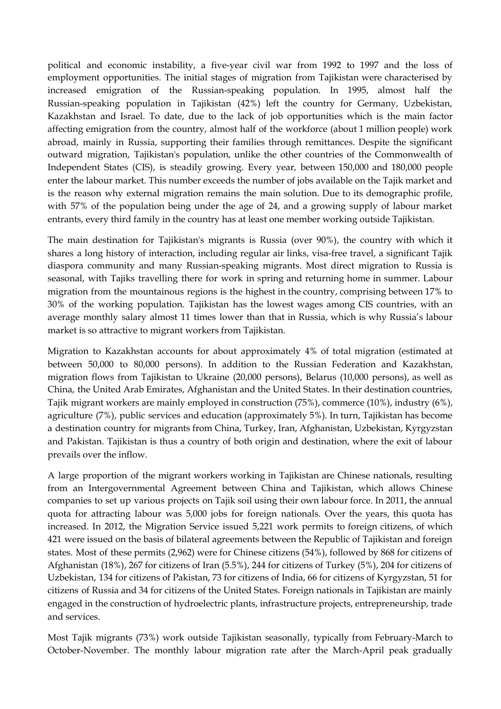political and economic instability, a five-year civil war from 1992 to 1997 and the loss of employment opportunities. The initial stages of migration from Tajikistan were characterised by increased emigration of the Russian-speaking population. In 1995, almost half the Russian-speaking population in Tajikistan (42%) left the country for Germany, Uzbekistan, Kazakhstan and Israel. To date, due to the lack of job opportunities which is the main factor affecting emigration from the country, almost half of the workforce (about 1 million people) work abroad, mainly in Russia, supporting their families through remittances. Despite the significant outward migration, Tajikistan's population, unlike the other countries of the Commonwealth of Independent States (CIS), is steadily growing. Every year, between 150,000 and 180,000 people enter the labour market. This number exceeds the number of jobs available on the Tajik market and is the reason why external migration remains the main solution. Due to its demographic profile, with 57% of the population being under the age of 24, and a growing supply of labour market entrants, every third family in the country has at least one member working outside Tajikistan.

The main destination for Tajikistan's migrants is Russia (over 90%), the country with which it shares a long history of interaction, including regular air links, visa-free travel, a significant Tajik diaspora community and many Russian-speaking migrants. Most direct migration to Russia is seasonal, with Tajiks travelling there for work in spring and returning home in summer. Labour migration from the mountainous regions is the highest in the country, comprising between 17% to 30% of the working population. Tajikistan has the lowest wages among CIS countries, with an average monthly salary almost 11 times lower than that in Russia, which is why Russia's labour market is so attractive to migrant workers from Tajikistan.

Migration to Kazakhstan accounts for about approximately 4% of total migration (estimated at between 50,000 to 80,000 persons). In addition to the Russian Federation and Kazakhstan, migration flows from Tajikistan to Ukraine (20,000 persons), Belarus (10,000 persons), as well as China, the United Arab Emirates, Afghanistan and the United States. In their destination countries, Tajik migrant workers are mainly employed in construction (75%), commerce (10%), industry (6%), agriculture (7%), public services and education (approximately 5%). In turn, Tajikistan has become a destination country for migrants from China, Turkey, Iran, Afghanistan, Uzbekistan, Kyrgyzstan and Pakistan. Tajikistan is thus a country of both origin and destination, where the exit of labour prevails over the inflow.

A large proportion of the migrant workers working in Tajikistan are Chinese nationals, resulting from an Intergovernmental Agreement between China and Tajikistan, which allows Chinese companies to set up various projects on Tajik soil using their own labour force. In 2011, the annual quota for attracting labour was 5,000 jobs for foreign nationals. Over the years, this quota has increased. In 2012, the Migration Service issued 5,221 work permits to foreign citizens, of which 421 were issued on the basis of bilateral agreements between the Republic of Tajikistan and foreign states. Most of these permits (2,962) were for Chinese citizens (54%), followed by 868 for citizens of Afghanistan (18%), 267 for citizens of Iran (5.5%), 244 for citizens of Turkey (5%), 204 for citizens of Uzbekistan, 134 for citizens of Pakistan, 73 for citizens of India, 66 for citizens of Kyrgyzstan, 51 for citizens of Russia and 34 for citizens of the United States. Foreign nationals in Tajikistan are mainly engaged in the construction of hydroelectric plants, infrastructure projects, entrepreneurship, trade and services.

Most Tajik migrants (73%) work outside Tajikistan seasonally, typically from February-March to October-November. The monthly labour migration rate after the March-April peak gradually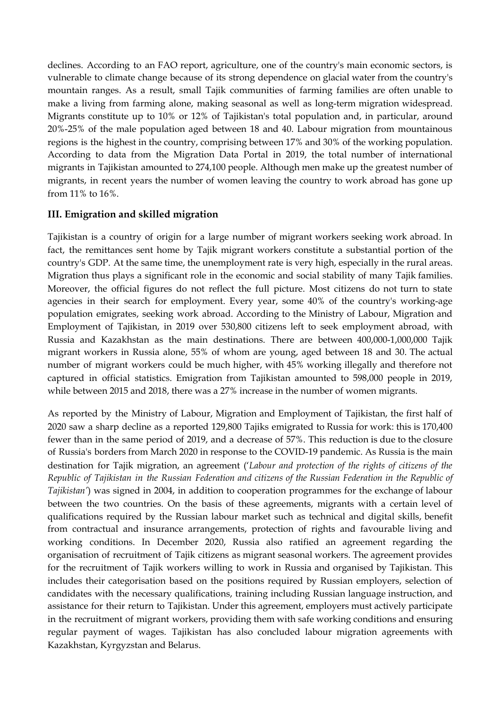declines. According to an FAO report, agriculture, one of the country's main economic sectors, is vulnerable to climate change because of its strong dependence on glacial water from the country's mountain ranges. As a result, small Tajik communities of farming families are often unable to make a living from farming alone, making seasonal as well as long-term migration widespread. Migrants constitute up to 10% or 12% of Tajikistan's total population and, in particular, around 20%-25% of the male population aged between 18 and 40. Labour migration from mountainous regions is the highest in the country, comprising between 17% and 30% of the working population. According to data from the Migration Data Portal in 2019, the total number of international migrants in Tajikistan amounted to 274,100 people. Although men make up the greatest number of migrants, in recent years the number of women leaving the country to work abroad has gone up from 11% to 16%.

## **III. Emigration and skilled migration**

Tajikistan is a country of origin for a large number of migrant workers seeking work abroad. In fact, the remittances sent home by Tajik migrant workers constitute a substantial portion of the country's GDP. At the same time, the unemployment rate is very high, especially in the rural areas. Migration thus plays a significant role in the economic and social stability of many Tajik families. Moreover, the official figures do not reflect the full picture. Most citizens do not turn to state agencies in their search for employment. Every year, some 40% of the country's working-age population emigrates, seeking work abroad. According to the Ministry of Labour, Migration and Employment of Tajikistan, in 2019 over 530,800 citizens left to seek employment abroad, with Russia and Kazakhstan as the main destinations. There are between 400,000-1,000,000 Tajik migrant workers in Russia alone, 55% of whom are young, aged between 18 and 30. The actual number of migrant workers could be much higher, with 45% working illegally and therefore not captured in official statistics. Emigration from Tajikistan amounted to 598,000 people in 2019, while between 2015 and 2018, there was a 27% increase in the number of women migrants.

As reported by the Ministry of Labour, Migration and Employment of Tajikistan, the first half of 2020 saw a sharp decline as a reported 129,800 Tajiks emigrated to Russia for work: this is 170,400 fewer than in the same period of 2019, and a decrease of 57%. This reduction is due to the closure of Russia's borders from March 2020 in response to the COVID-19 pandemic. As Russia is the main destination for Tajik migration, an agreement ('*Labour and protection of the rights of citizens of the* Republic of Tajikistan in the Russian Federation and citizens of the Russian Federation in the Republic of *Tajikistan'*) was signed in 2004, in addition to cooperation programmes for the exchange of labour between the two countries. On the basis of these agreements, migrants with a certain level of qualifications required by the Russian labour market such as technical and digital skills, benefit from contractual and insurance arrangements, protection of rights and favourable living and working conditions. In December 2020, Russia also ratified an agreement regarding the organisation of recruitment of Tajik citizens as migrant seasonal workers. The agreement provides for the recruitment of Tajik workers willing to work in Russia and organised by Tajikistan. This includes their categorisation based on the positions required by Russian employers, selection of candidates with the necessary qualifications, training including Russian language instruction, and assistance for their return to Tajikistan. Under this agreement, employers must actively participate in the recruitment of migrant workers, providing them with safe working conditions and ensuring regular payment of wages. Tajikistan has also concluded labour migration agreements with Kazakhstan, Kyrgyzstan and Belarus.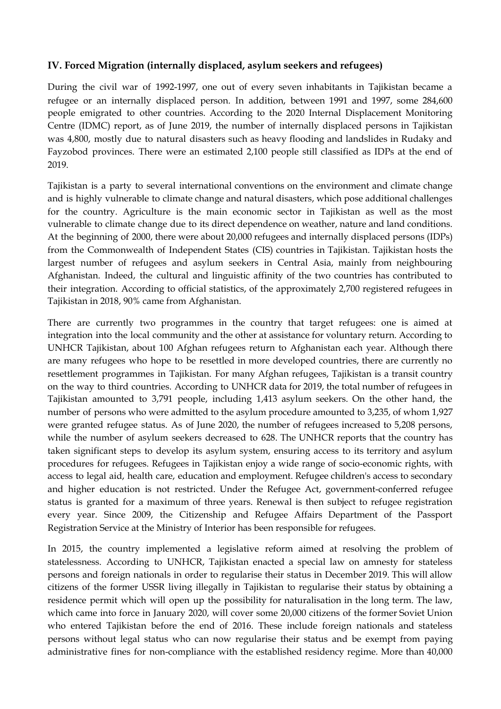## **IV. Forced Migration (internally displaced, asylum seekers and refugees)**

During the civil war of 1992-1997, one out of every seven inhabitants in Tajikistan became a refugee or an internally displaced person. In addition, between 1991 and 1997, some 284,600 people emigrated to other countries. According to the 2020 Internal Displacement Monitoring Centre (IDMC) report, as of June 2019, the number of internally displaced persons in Tajikistan was 4,800, mostly due to natural disasters such as heavy flooding and landslides in Rudaky and Fayzobod provinces. There were an estimated 2,100 people still classified as IDPs at the end of 2019.

Tajikistan is a party to several international conventions on the environment and climate change and is highly vulnerable to climate change and natural disasters, which pose additional challenges for the country. Agriculture is the main economic sector in Tajikistan as well as the most vulnerable to climate change due to its direct dependence on weather, nature and land conditions. At the beginning of 2000, there were about 20,000 refugees and internally displaced persons (IDPs) from the Commonwealth of Independent States (CIS) countries in Tajikistan. Tajikistan hosts the largest number of refugees and asylum seekers in Central Asia, mainly from neighbouring Afghanistan. Indeed, the cultural and linguistic affinity of the two countries has contributed to their integration. According to official statistics, of the approximately 2,700 registered refugees in Tajikistan in 2018, 90% came from Afghanistan.

There are currently two programmes in the country that target refugees: one is aimed at integration into the local community and the other at assistance for voluntary return. According to UNHCR Tajikistan, about 100 Afghan refugees return to Afghanistan each year. Although there are many refugees who hope to be resettled in more developed countries, there are currently no resettlement programmes in Tajikistan. For many Afghan refugees, Tajikistan is a transit country on the way to third countries. According to UNHCR data for 2019, the total number of refugees in Tajikistan amounted to 3,791 people, including 1,413 asylum seekers. On the other hand, the number of persons who were admitted to the asylum procedure amounted to 3,235, of whom 1,927 were granted refugee status. As of June 2020, the number of refugees increased to 5,208 persons, while the number of asylum seekers decreased to 628. The UNHCR reports that the country has taken significant steps to develop its asylum system, ensuring access to its territory and asylum procedures for refugees. Refugees in Tajikistan enjoy a wide range of socio-economic rights, with access to legal aid, health care, education and employment. Refugee children's access to secondary and higher education is not restricted. Under the Refugee Act, government-conferred refugee status is granted for a maximum of three years. Renewal is then subject to refugee registration every year. Since 2009, the Citizenship and Refugee Affairs Department of the Passport Registration Service at the Ministry of Interior has been responsible for refugees.

In 2015, the country implemented a legislative reform aimed at resolving the problem of statelessness. According to UNHCR, Tajikistan enacted a special law on amnesty for stateless persons and foreign nationals in order to regularise their status in December 2019. This will allow citizens of the former USSR living illegally in Tajikistan to regularise their status by obtaining a residence permit which will open up the possibility for naturalisation in the long term. The law, which came into force in January 2020, will cover some 20,000 citizens of the former Soviet Union who entered Tajikistan before the end of 2016. These include foreign nationals and stateless persons without legal status who can now regularise their status and be exempt from paying administrative fines for non-compliance with the established residency regime. More than 40,000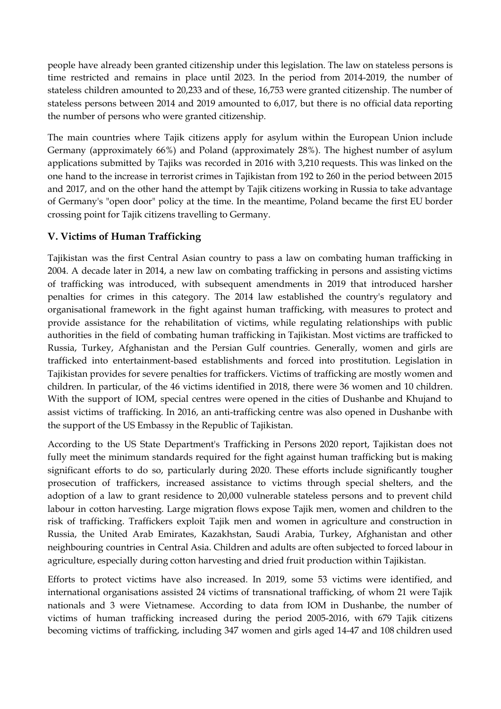people have already been granted citizenship under this legislation. The law on stateless persons is time restricted and remains in place until 2023. In the period from 2014-2019, the number of stateless children amounted to 20,233 and of these, 16,753 were granted citizenship. The number of stateless persons between 2014 and 2019 amounted to 6,017, but there is no official data reporting the number of persons who were granted citizenship.

The main countries where Tajik citizens apply for asylum within the European Union include Germany (approximately 66%) and Poland (approximately 28%). The highest number of asylum applications submitted by Tajiks was recorded in 2016 with 3,210 requests. This was linked on the one hand to the increase in terrorist crimes in Tajikistan from 192 to 260 in the period between 2015 and 2017, and on the other hand the attempt by Tajik citizens working in Russia to take advantage of Germany's "open door" policy at the time. In the meantime, Poland became the first EU border crossing point for Tajik citizens travelling to Germany.

## **V. Victims of Human Trafficking**

Tajikistan was the first Central Asian country to pass a law on combating human trafficking in 2004. A decade later in 2014, a new law on combating trafficking in persons and assisting victims of trafficking was introduced, with subsequent amendments in 2019 that introduced harsher penalties for crimes in this category. The 2014 law established the country's regulatory and organisational framework in the fight against human trafficking, with measures to protect and provide assistance for the rehabilitation of victims, while regulating relationships with public authorities in the field of combating human trafficking in Tajikistan. Most victims are trafficked to Russia, Turkey, Afghanistan and the Persian Gulf countries. Generally, women and girls are trafficked into entertainment-based establishments and forced into prostitution. Legislation in Tajikistan provides for severe penalties for traffickers. Victims of trafficking are mostly women and children. In particular, of the 46 victims identified in 2018, there were 36 women and 10 children. With the support of IOM, special centres were opened in the cities of Dushanbe and Khujand to assist victims of trafficking. In 2016, an anti-trafficking centre was also opened in Dushanbe with the support of the US Embassy in the Republic of Tajikistan.

According to the US State Department's Trafficking in Persons 2020 report, Tajikistan does not fully meet the minimum standards required for the fight against human trafficking but is making significant efforts to do so, particularly during 2020. These efforts include significantly tougher prosecution of traffickers, increased assistance to victims through special shelters, and the adoption of a law to grant residence to 20,000 vulnerable stateless persons and to prevent child labour in cotton harvesting. Large migration flows expose Tajik men, women and children to the risk of trafficking. Traffickers exploit Tajik men and women in agriculture and construction in Russia, the United Arab Emirates, Kazakhstan, Saudi Arabia, Turkey, Afghanistan and other neighbouring countries in Central Asia. Children and adults are often subjected to forced labour in agriculture, especially during cotton harvesting and dried fruit production within Tajikistan.

Efforts to protect victims have also increased. In 2019, some 53 victims were identified, and international organisations assisted 24 victims of transnational trafficking, of whom 21 were Tajik nationals and 3 were Vietnamese. According to data from IOM in Dushanbe, the number of victims of human trafficking increased during the period 2005-2016, with 679 Tajik citizens becoming victims of trafficking, including 347 women and girls aged 14-47 and 108 children used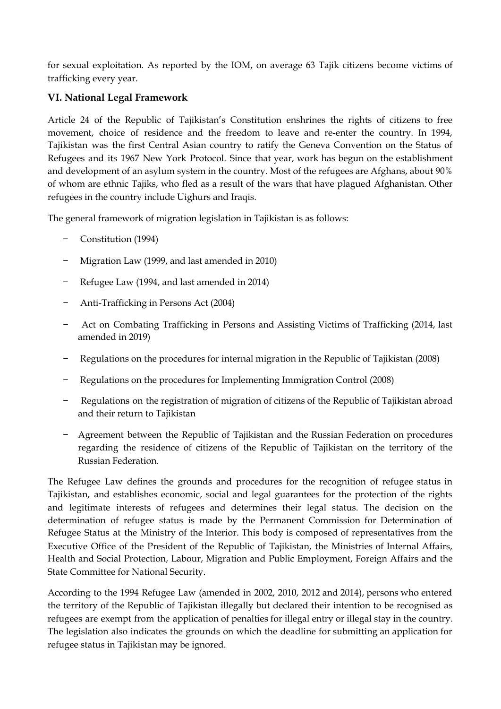for sexual exploitation. As reported by the IOM, on average 63 Tajik citizens become victims of trafficking every year.

# **VI. National Legal Framework**

Article 24 of the Republic of Tajikistan's Constitution enshrines the rights of citizens to free movement, choice of residence and the freedom to leave and re-enter the country. In 1994, Tajikistan was the first Central Asian country to ratify the Geneva Convention on the Status of Refugees and its 1967 New York Protocol. Since that year, work has begun on the establishment and development of an asylum system in the country. Most of the refugees are Afghans, about 90% of whom are ethnic Tajiks, who fled as a result of the wars that have plagued Afghanistan. Other refugees in the country include Uighurs and Iraqis.

The general framework of migration legislation in Tajikistan is as follows:

- − Constitution (1994)
- − Migration Law (1999, and last amended in 2010)
- − Refugee Law (1994, and last amended in 2014)
- − Anti-Trafficking in Persons Act (2004)
- − Act on Combating Trafficking in Persons and Assisting Victims of Trafficking (2014, last amended in 2019)
- − Regulations on the procedures for internal migration in the Republic of Tajikistan (2008)
- − Regulations on the procedures for Implementing Immigration Control (2008)
- − Regulations on the registration of migration of citizens of the Republic of Tajikistan abroad and their return to Tajikistan
- − Agreement between the Republic of Tajikistan and the Russian Federation on procedures regarding the residence of citizens of the Republic of Tajikistan on the territory of the Russian Federation.

The Refugee Law defines the grounds and procedures for the recognition of refugee status in Tajikistan, and establishes economic, social and legal guarantees for the protection of the rights and legitimate interests of refugees and determines their legal status. The decision on the determination of refugee status is made by the Permanent Commission for Determination of Refugee Status at the Ministry of the Interior. This body is composed of representatives from the Executive Office of the President of the Republic of Tajikistan, the Ministries of Internal Affairs, Health and Social Protection, Labour, Migration and Public Employment, Foreign Affairs and the State Committee for National Security.

According to the 1994 Refugee Law (amended in 2002, 2010, 2012 and 2014), persons who entered the territory of the Republic of Tajikistan illegally but declared their intention to be recognised as refugees are exempt from the application of penalties for illegal entry or illegal stay in the country. The legislation also indicates the grounds on which the deadline for submitting an application for refugee status in Tajikistan may be ignored.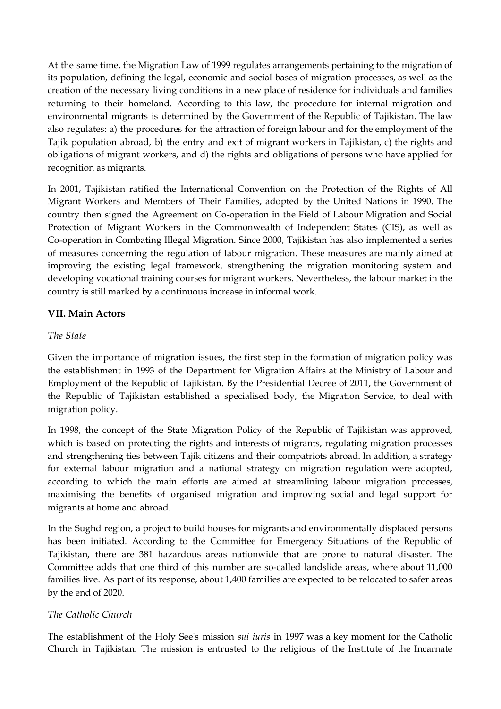At the same time, the Migration Law of 1999 regulates arrangements pertaining to the migration of its population, defining the legal, economic and social bases of migration processes, as well as the creation of the necessary living conditions in a new place of residence for individuals and families returning to their homeland. According to this law, the procedure for internal migration and environmental migrants is determined by the Government of the Republic of Tajikistan. The law also regulates: a) the procedures for the attraction of foreign labour and for the employment of the Tajik population abroad, b) the entry and exit of migrant workers in Tajikistan, c) the rights and obligations of migrant workers, and d) the rights and obligations of persons who have applied for recognition as migrants.

In 2001, Tajikistan ratified the International Convention on the Protection of the Rights of All Migrant Workers and Members of Their Families, adopted by the United Nations in 1990. The country then signed the Agreement on Co-operation in the Field of Labour Migration and Social Protection of Migrant Workers in the Commonwealth of Independent States (CIS), as well as Co-operation in Combating Illegal Migration. Since 2000, Tajikistan has also implemented a series of measures concerning the regulation of labour migration. These measures are mainly aimed at improving the existing legal framework, strengthening the migration monitoring system and developing vocational training courses for migrant workers. Nevertheless, the labour market in the country is still marked by a continuous increase in informal work.

# **VII. Main Actors**

## *The State*

Given the importance of migration issues, the first step in the formation of migration policy was the establishment in 1993 of the Department for Migration Affairs at the Ministry of Labour and Employment of the Republic of Tajikistan. By the Presidential Decree of 2011, the Government of the Republic of Tajikistan established a specialised body, the Migration Service, to deal with migration policy.

In 1998, the concept of the State Migration Policy of the Republic of Tajikistan was approved, which is based on protecting the rights and interests of migrants, regulating migration processes and strengthening ties between Tajik citizens and their compatriots abroad. In addition, a strategy for external labour migration and a national strategy on migration regulation were adopted, according to which the main efforts are aimed at streamlining labour migration processes, maximising the benefits of organised migration and improving social and legal support for migrants at home and abroad.

In the Sughd region, a project to build houses for migrants and environmentally displaced persons has been initiated. According to the Committee for Emergency Situations of the Republic of Tajikistan, there are 381 hazardous areas nationwide that are prone to natural disaster. The Committee adds that one third of this number are so-called landslide areas, where about 11,000 families live. As part of its response, about 1,400 families are expected to be relocated to safer areas by the end of 2020.

# *The Catholic Church*

The establishment of the Holy See's mission *sui iuris* in 1997 was a key moment for the Catholic Church in Tajikistan. The mission is entrusted to the religious of the Institute of the Incarnate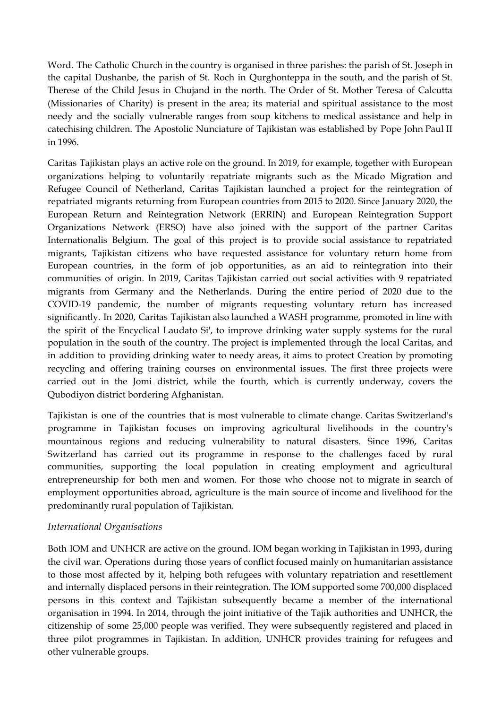Word. The Catholic Church in the country is organised in three parishes: the parish of St. Joseph in the capital Dushanbe, the parish of St. Roch in Qurghonteppa in the south, and the parish of St. Therese of the Child Jesus in Chujand in the north. The Order of St. Mother Teresa of Calcutta (Missionaries of Charity) is present in the area; its material and spiritual assistance to the most needy and the socially vulnerable ranges from soup kitchens to medical assistance and help in catechising children. The Apostolic Nunciature of Tajikistan was established by Pope John Paul II in 1996.

Caritas Tajikistan plays an active role on the ground. In 2019, for example, together with European organizations helping to voluntarily repatriate migrants such as the Micado Migration and Refugee Council of Netherland, Caritas Tajikistan launched a project for the reintegration of repatriated migrants returning from European countries from 2015 to 2020. Since January 2020, the European Return and Reintegration Network (ERRIN) and European Reintegration Support Organizations Network (ERSO) have also joined with the support of the partner Caritas Internationalis Belgium. The goal of this project is to provide social assistance to repatriated migrants, Tajikistan citizens who have requested assistance for voluntary return home from European countries, in the form of job opportunities, as an aid to reintegration into their communities of origin. In 2019, Caritas Tajikistan carried out social activities with 9 repatriated migrants from Germany and the Netherlands. During the entire period of 2020 due to the COVID-19 pandemic, the number of migrants requesting voluntary return has increased significantly. In 2020, Caritas Tajikistan also launched a WASH programme, promoted in line with the spirit of the Encyclical Laudato Si', to improve drinking water supply systems for the rural population in the south of the country. The project is implemented through the local Caritas, and in addition to providing drinking water to needy areas, it aims to protect Creation by promoting recycling and offering training courses on environmental issues. The first three projects were carried out in the Jomi district, while the fourth, which is currently underway, covers the Qubodiyon district bordering Afghanistan.

Tajikistan is one of the countries that is most vulnerable to climate change. Caritas Switzerland's programme in Tajikistan focuses on improving agricultural livelihoods in the country's mountainous regions and reducing vulnerability to natural disasters. Since 1996, Caritas Switzerland has carried out its programme in response to the challenges faced by rural communities, supporting the local population in creating employment and agricultural entrepreneurship for both men and women. For those who choose not to migrate in search of employment opportunities abroad, agriculture is the main source of income and livelihood for the predominantly rural population of Tajikistan.

#### *International Organisations*

Both IOM and UNHCR are active on the ground. IOM began working in Tajikistan in 1993, during the civil war. Operations during those years of conflict focused mainly on humanitarian assistance to those most affected by it, helping both refugees with voluntary repatriation and resettlement and internally displaced persons in their reintegration. The IOM supported some 700,000 displaced persons in this context and Tajikistan subsequently became a member of the international organisation in 1994. In 2014, through the joint initiative of the Tajik authorities and UNHCR, the citizenship of some 25,000 people was verified. They were subsequently registered and placed in three pilot programmes in Tajikistan. In addition, UNHCR provides training for refugees and other vulnerable groups.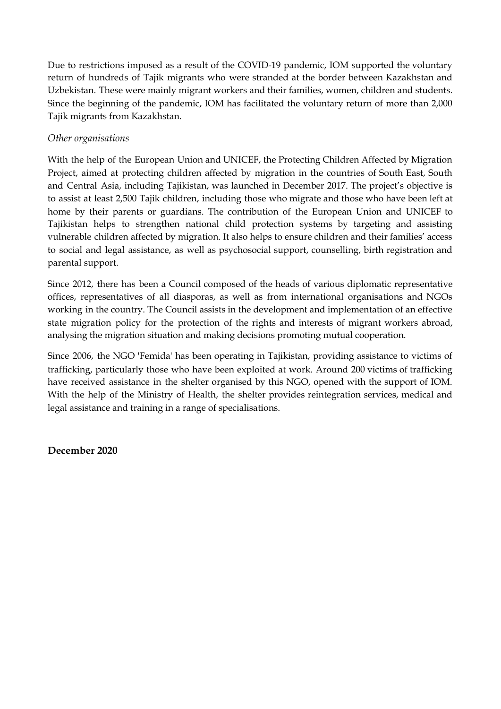Due to restrictions imposed as a result of the COVID-19 pandemic, IOM supported the voluntary return of hundreds of Tajik migrants who were stranded at the border between Kazakhstan and Uzbekistan. These were mainly migrant workers and their families, women, children and students. Since the beginning of the pandemic, IOM has facilitated the voluntary return of more than 2,000 Tajik migrants from Kazakhstan.

### *Other organisations*

With the help of the European Union and UNICEF, the Protecting Children Affected by Migration Project, aimed at protecting children affected by migration in the countries of South East, South and Central Asia, including Tajikistan, was launched in December 2017. The project's objective is to assist at least 2,500 Tajik children, including those who migrate and those who have been left at home by their parents or guardians. The contribution of the European Union and UNICEF to Tajikistan helps to strengthen national child protection systems by targeting and assisting vulnerable children affected by migration. It also helps to ensure children and their families' access to social and legal assistance, as well as psychosocial support, counselling, birth registration and parental support.

Since 2012, there has been a Council composed of the heads of various diplomatic representative offices, representatives of all diasporas, as well as from international organisations and NGOs working in the country. The Council assists in the development and implementation of an effective state migration policy for the protection of the rights and interests of migrant workers abroad, analysing the migration situation and making decisions promoting mutual cooperation.

Since 2006, the NGO 'Femida' has been operating in Tajikistan, providing assistance to victims of trafficking, particularly those who have been exploited at work. Around 200 victims of trafficking have received assistance in the shelter organised by this NGO, opened with the support of IOM. With the help of the Ministry of Health, the shelter provides reintegration services, medical and legal assistance and training in a range of specialisations.

**December 2020**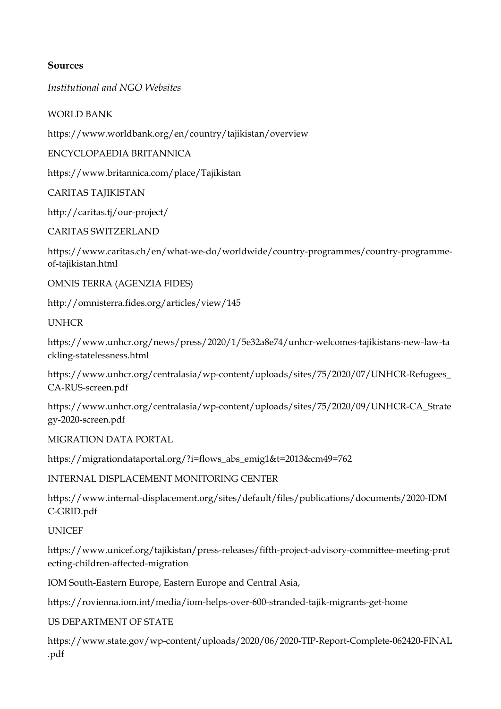## **Sources**

*Institutional and NGO Websites*

#### WORLD BANK

https://www.worldbank.org/en/country/tajikistan/overview

ENCYCLOPAEDIA BRITANNICA

https://www.britannica.com/place/Tajikistan

CARITAS TAJIKISTAN

http://caritas.tj/our-project/

#### CARITAS SWITZERLAND

https://www.caritas.ch/en/what-we-do/worldwide/country-programmes/country-programmeof-tajikistan.html

OMNIS TERRA (AGENZIA FIDES)

http://omnisterra.fides.org/articles/view/145

#### **UNHCR**

https://www.unhcr.org/news/press/2020/1/5e32a8e74/unhcr-welcomes-tajikistans-new-law-ta ckling-statelessness.html

https://www.unhcr.org/centralasia/wp-content/uploads/sites/75/2020/07/UNHCR-Refugees\_ CA-RUS-screen.pdf

https://www.unhcr.org/centralasia/wp-content/uploads/sites/75/2020/09/UNHCR-CA\_Strate gy-2020-screen.pdf

MIGRATION DATA PORTAL

https://migrationdataportal.org/?i=flows\_abs\_emig1&t=2013&cm49=762

INTERNAL DISPLACEMENT MONITORING CENTER

https://www.internal-displacement.org/sites/default/files/publications/documents/2020-IDM C-GRID.pdf

UNICEF

https://www.unicef.org/tajikistan/press-releases/fifth-project-advisory-committee-meeting-prot ecting-children-affected-migration

IOM South-Eastern Europe, Eastern Europe and Central Asia,

https://rovienna.iom.int/media/iom-helps-over-600-stranded-tajik-migrants-get-home

US DEPARTMENT OF STATE

https://www.state.gov/wp-content/uploads/2020/06/2020-TIP-Report-Complete-062420-FINAL .pdf